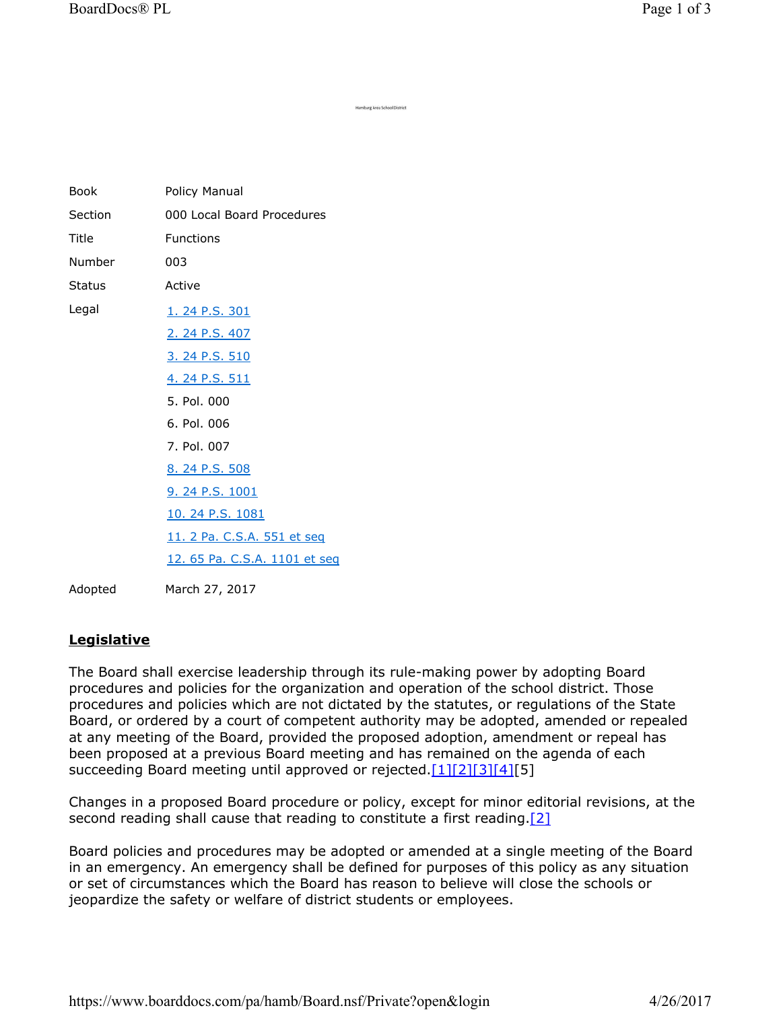| <b>Book</b>   | Policy Manual                 |
|---------------|-------------------------------|
| Section       | 000 Local Board Procedures    |
| Title         | <b>Functions</b>              |
| Number        | 003                           |
| <b>Status</b> | Active                        |
| Legal         | 1. 24 P.S. 301                |
|               | 2. 24 P.S. 407                |
|               | <u>3. 24 P.S. 510</u>         |
|               | <u>4. 24 P.S. 511</u>         |
|               | 5. Pol. 000                   |
|               | 6. Pol. 006                   |
|               | 7. Pol. 007                   |
|               | 8. 24 P.S. 508                |
|               | <u>9. 24 P.S. 1001</u>        |
|               | 10. 24 P.S. 1081              |
|               | 11. 2 Pa. C.S.A. 551 et seq   |
|               | 12. 65 Pa. C.S.A. 1101 et seq |
| Adopted       | March 27, 2017                |

## **Legislative**

The Board shall exercise leadership through its rule-making power by adopting Board procedures and policies for the organization and operation of the school district. Those procedures and policies which are not dictated by the statutes, or regulations of the State Board, or ordered by a court of competent authority may be adopted, amended or repealed at any meeting of the Board, provided the proposed adoption, amendment or repeal has been proposed at a previous Board meeting and has remained on the agenda of each succeeding Board meeting until approved or rejected.[1][2][3][4][5]

mburg Area School District

Changes in a proposed Board procedure or policy, except for minor editorial revisions, at the second reading shall cause that reading to constitute a first reading.<sup>[2]</sup>

Board policies and procedures may be adopted or amended at a single meeting of the Board in an emergency. An emergency shall be defined for purposes of this policy as any situation or set of circumstances which the Board has reason to believe will close the schools or jeopardize the safety or welfare of district students or employees.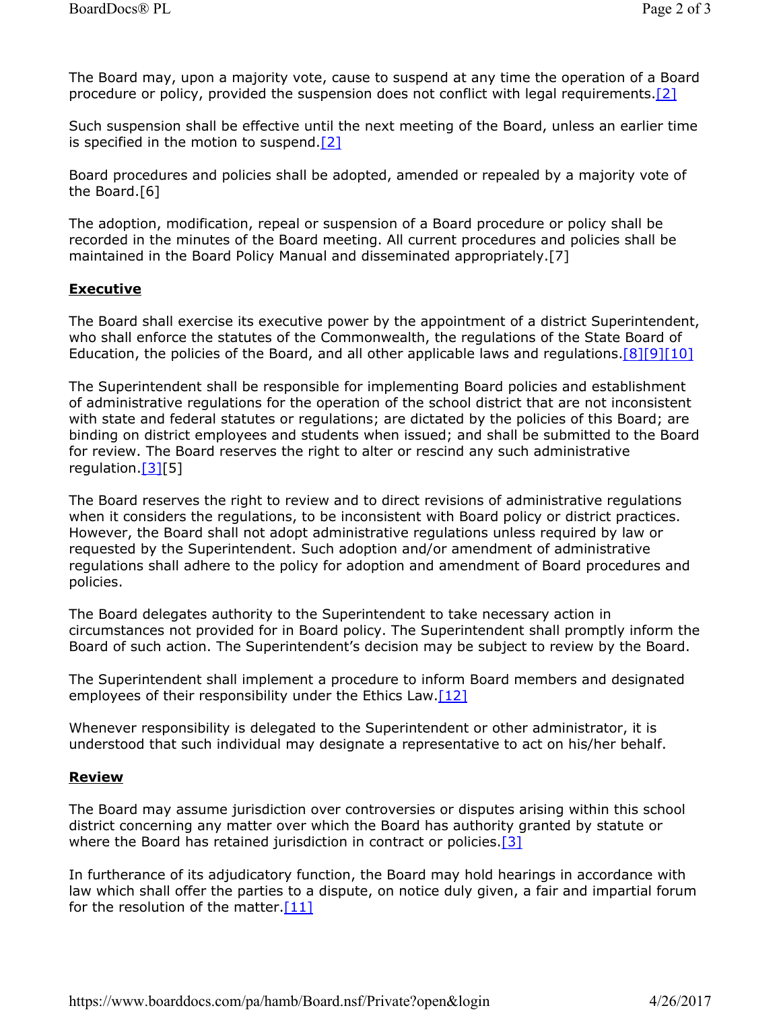The Board may, upon a majority vote, cause to suspend at any time the operation of a Board procedure or policy, provided the suspension does not conflict with legal requirements.[2]

Such suspension shall be effective until the next meeting of the Board, unless an earlier time is specified in the motion to suspend.[2]

Board procedures and policies shall be adopted, amended or repealed by a majority vote of the Board.[6]

The adoption, modification, repeal or suspension of a Board procedure or policy shall be recorded in the minutes of the Board meeting. All current procedures and policies shall be maintained in the Board Policy Manual and disseminated appropriately.[7]

## **Executive**

The Board shall exercise its executive power by the appointment of a district Superintendent, who shall enforce the statutes of the Commonwealth, the regulations of the State Board of Education, the policies of the Board, and all other applicable laws and regulations.[8][9][10]

The Superintendent shall be responsible for implementing Board policies and establishment of administrative regulations for the operation of the school district that are not inconsistent with state and federal statutes or regulations; are dictated by the policies of this Board; are binding on district employees and students when issued; and shall be submitted to the Board for review. The Board reserves the right to alter or rescind any such administrative regulation.[3][5]

The Board reserves the right to review and to direct revisions of administrative regulations when it considers the regulations, to be inconsistent with Board policy or district practices. However, the Board shall not adopt administrative regulations unless required by law or requested by the Superintendent. Such adoption and/or amendment of administrative regulations shall adhere to the policy for adoption and amendment of Board procedures and policies.

The Board delegates authority to the Superintendent to take necessary action in circumstances not provided for in Board policy. The Superintendent shall promptly inform the Board of such action. The Superintendent's decision may be subject to review by the Board.

The Superintendent shall implement a procedure to inform Board members and designated employees of their responsibility under the Ethics Law.<sup>[12]</sup>

Whenever responsibility is delegated to the Superintendent or other administrator, it is understood that such individual may designate a representative to act on his/her behalf.

## **Review**

The Board may assume jurisdiction over controversies or disputes arising within this school district concerning any matter over which the Board has authority granted by statute or where the Board has retained jurisdiction in contract or policies.<sup>[3]</sup>

In furtherance of its adjudicatory function, the Board may hold hearings in accordance with law which shall offer the parties to a dispute, on notice duly given, a fair and impartial forum for the resolution of the matter. $[11]$